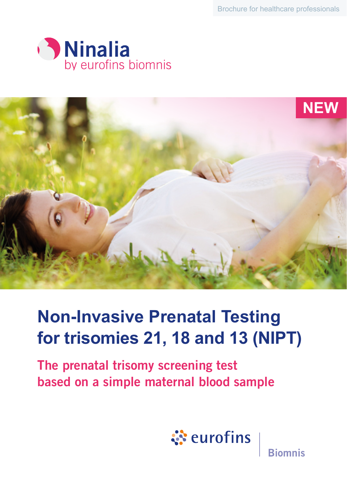Brochure for healthcare professionals





# **Non-Invasive Prenatal Testing for trisomies 21, 18 and 13 (NIPT)**

The prenatal trisomy screening test based on a simple maternal blood sample



**Biomnis**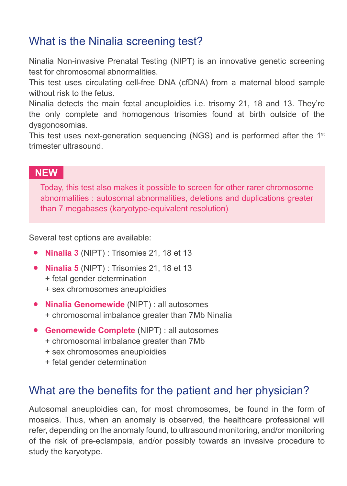# What is the Ninalia screening test?

Ninalia Non-invasive Prenatal Testing (NIPT) is an innovative genetic screening test for chromosomal abnormalities.

This test uses circulating cell-free DNA (cfDNA) from a maternal blood sample without risk to the fetus.

Ninalia detects the main fœtal aneuploidies i.e. trisomy 21, 18 and 13. They're the only complete and homogenous trisomies found at birth outside of the dysgonosomias.

This test uses next-generation sequencing (NGS) and is performed after the  $1<sup>st</sup>$ trimester ultrasound.

#### **NEW**

Today, this test also makes it possible to screen for other rarer chromosome abnormalities : autosomal abnormalities, deletions and duplications greater than 7 megabases (karyotype-equivalent resolution)

Several test options are available:

- **• Ninalia 3** (NIPT) : Trisomies 21, 18 et 13
- **• Ninalia 5** (NIPT) : Trisomies 21, 18 et 13
	- + fetal gender determination
	- + sex chromosomes aneuploidies
- **• Ninalia Genomewide** (NIPT) : all autosomes + chromosomal imbalance greater than 7Mb Ninalia
- **• Genomewide Complete** (NIPT) : all autosomes
	- + chromosomal imbalance greater than 7Mb
	- + sex chromosomes aneuploidies
	- + fetal gender determination

#### What are the benefits for the patient and her physician?

Autosomal aneuploidies can, for most chromosomes, be found in the form of mosaics. Thus, when an anomaly is observed, the healthcare professional will refer, depending on the anomaly found, to ultrasound monitoring, and/or monitoring of the risk of pre-eclampsia, and/or possibly towards an invasive procedure to study the karyotype.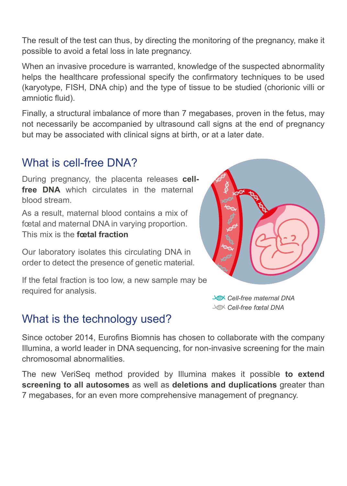The result of the test can thus, by directing the monitoring of the pregnancy, make it possible to avoid a fetal loss in late pregnancy.

When an invasive procedure is warranted, knowledge of the suspected abnormality helps the healthcare professional specify the confirmatory techniques to be used (karyotype, FISH, DNA chip) and the type of tissue to be studied (chorionic villi or amniotic fluid).

Finally, a structural imbalance of more than 7 megabases, proven in the fetus, may not necessarily be accompanied by ultrasound call signs at the end of pregnancy but may be associated with clinical signs at birth, or at a later date.

#### What is cell-free DNA?

During pregnancy, the placenta releases **cellfree DNA** which circulates in the maternal blood stream.

As a result, maternal blood contains a mix of fœtal and maternal DNA in varying proportion. This mix is the **fœtal fraction**

Our laboratory isolates this circulating DNA in order to detect the presence of genetic material.

If the fetal fraction is too low, a new sample may be required for analysis.



 *Cell-free maternal DNA Cell-free fœtal DNA*

#### What is the technology used?

Since october 2014, Eurofins Biomnis has chosen to collaborate with the company Illumina, a world leader in DNA sequencing, for non-invasive screening for the main chromosomal abnormalities.

The new VeriSeq method provided by Illumina makes it possible **to extend screening to all autosomes** as well as **deletions and duplications** greater than 7 megabases, for an even more comprehensive management of pregnancy.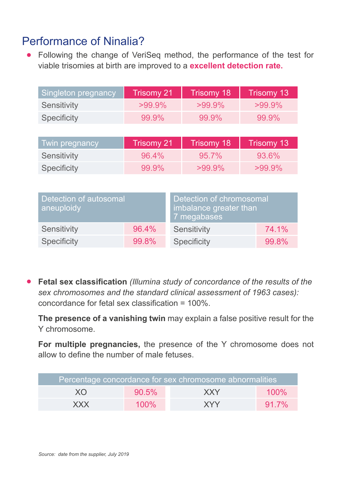## Performance of Ninalia?

**•** Following the change of VeriSeq method, the performance of the test for viable trisomies at birth are improved to a **excellent detection rate.**

| Singleton pregnancy | Trisomy 21 | Trisomy 18 | Trisomy 13 |
|---------------------|------------|------------|------------|
| Sensitivity         | $>99.9\%$  | $>99.9\%$  | $>99.9\%$  |
| Specificity         | 99.9%      | 99.9%      | $99.9\%$   |
|                     |            |            |            |
| Twin prognancy      | Trienmy 21 | Trienmy 18 | Trienmy 13 |

| I Iwin pregnancy, |          | Trisomy 21   Trisomy 18   Trisomy 13 |           |  |
|-------------------|----------|--------------------------------------|-----------|--|
| Sensitivity       | $96.4\%$ | $95.7\%$                             | 93.6%     |  |
| Specificity       | $99.9\%$ | $>99.9\%$                            | $>99.9\%$ |  |

| Detection of autosomal<br>aneuploidy |       | Detection of chromosomal<br>imbalance greater than<br>7 megabases |       |
|--------------------------------------|-------|-------------------------------------------------------------------|-------|
| Sensitivity                          | 96.4% | Sensitivity                                                       | 74.1% |
| Specificity                          | 99.8% | Specificity                                                       | 99.8% |

**• Fetal sex classification** *(Illumina study of concordance of the results of the sex chromosomes and the standard clinical assessment of 1963 cases):* concordance for fetal sex classification = 100%.

**The presence of a vanishing twin** may explain a false positive result for the Y chromosome.

**For multiple pregnancies,** the presence of the Y chromosome does not allow to define the number of male fetuses.

| Percentage concordance for sex chromosome abnormalities |          |            |          |  |
|---------------------------------------------------------|----------|------------|----------|--|
| XO                                                      | $90.5\%$ | XXY        | $100\%$  |  |
| <b>XXX</b>                                              | $100\%$  | <b>XYY</b> | $91.7\%$ |  |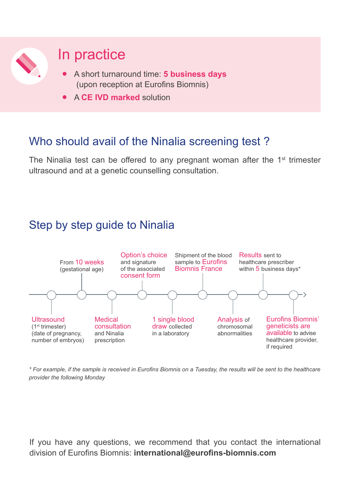

# In practice

- **•** A short turnaround time: **5 business days** (upon reception at Eurofins Biomnis)
- **•** <sup>A</sup>**CE IVD marked** solution

#### Who should avail of the Ninalia screening test ?

The Ninalia test can be offered to any pregnant woman after the  $1<sup>st</sup>$  trimester ultrasound and at a genetic counselling consultation.

### Step by step guide to Ninalia



*\* For example, if the sample is received in Eurofins Biomnis on a Tuesday, the results will be sent to the healthcare provider the following Monday*

If you have any questions, we recommend that you contact the international division of Eurofins Biomnis: **international@eurofins-biomnis.com**